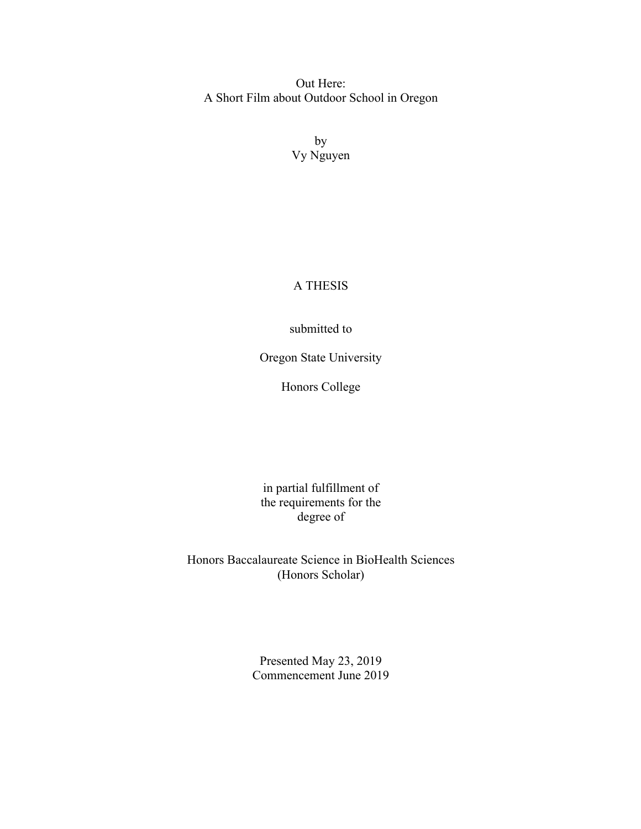Out Here: A Short Film about Outdoor School in Oregon

> by Vy Nguyen

## A THESIS

## submitted to

Oregon State University

Honors College

in partial fulfillment of the requirements for the degree of

Honors Baccalaureate Science in BioHealth Sciences (Honors Scholar)

> Presented May 23, 2019 Commencement June 2019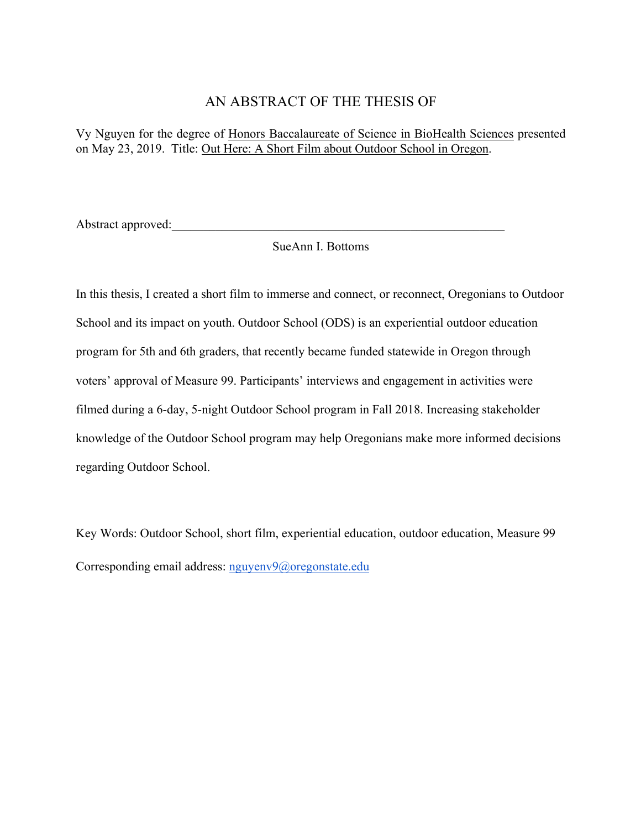## AN ABSTRACT OF THE THESIS OF

Vy Nguyen for the degree of Honors Baccalaureate of Science in BioHealth Sciences presented on May 23, 2019. Title: Out Here: A Short Film about Outdoor School in Oregon.

Abstract approved:

SueAnn I. Bottoms

In this thesis, I created a short film to immerse and connect, or reconnect, Oregonians to Outdoor School and its impact on youth. Outdoor School (ODS) is an experiential outdoor education program for 5th and 6th graders, that recently became funded statewide in Oregon through voters' approval of Measure 99. Participants' interviews and engagement in activities were filmed during a 6-day, 5-night Outdoor School program in Fall 2018. Increasing stakeholder knowledge of the Outdoor School program may help Oregonians make more informed decisions regarding Outdoor School.

Key Words: Outdoor School, short film, experiential education, outdoor education, Measure 99 Corresponding email address: nguyenv9@oregonstate.edu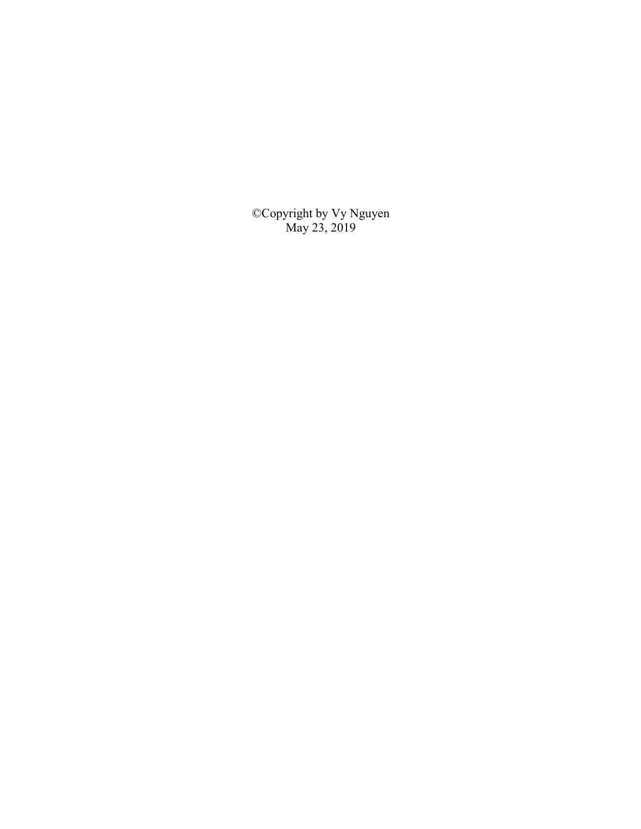©Copyright by Vy Nguyen May 23, 2019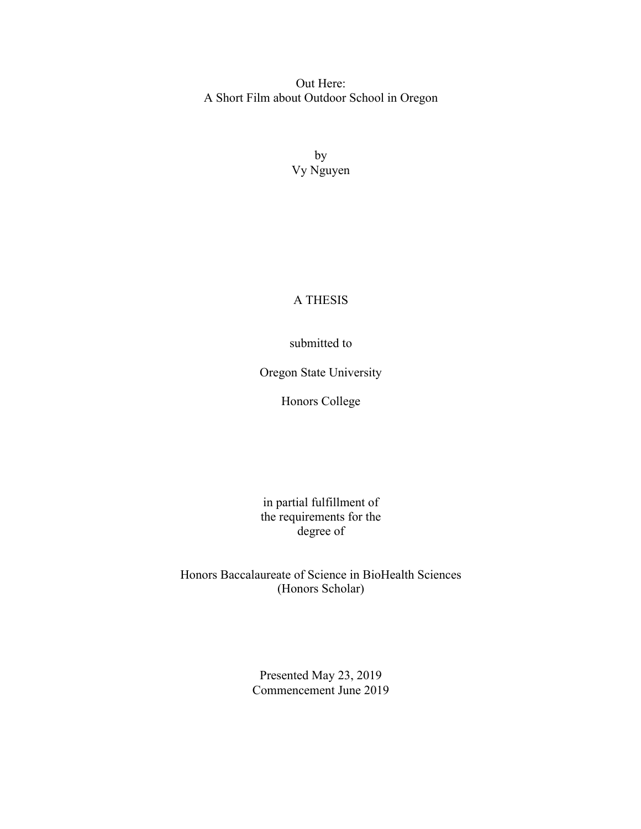Out Here: A Short Film about Outdoor School in Oregon

> by Vy Nguyen

## A THESIS

submitted to

Oregon State University

Honors College

in partial fulfillment of the requirements for the degree of

Honors Baccalaureate of Science in BioHealth Sciences (Honors Scholar)

> Presented May 23, 2019 Commencement June 2019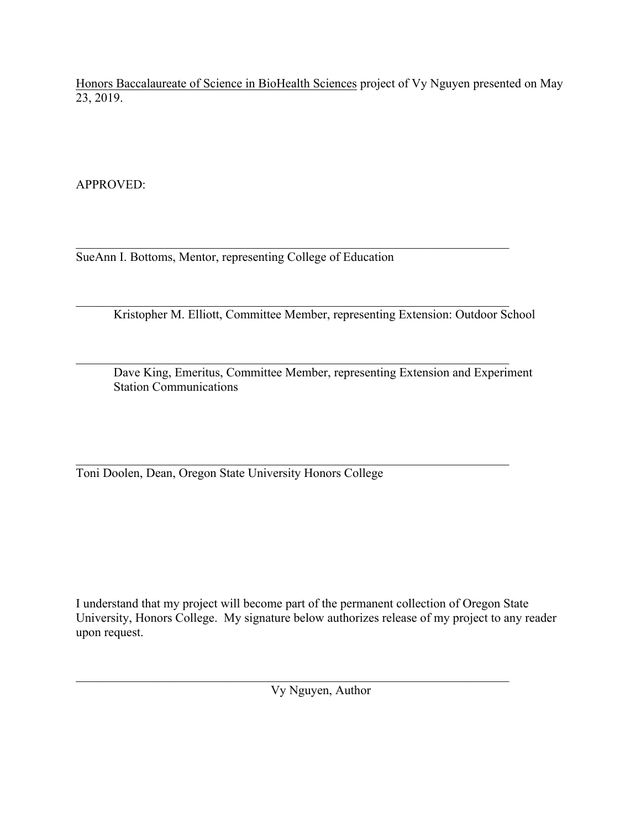Honors Baccalaureate of Science in BioHealth Sciences project of Vy Nguyen presented on May 23, 2019.

APPROVED:

 $\mathcal{L}_\mathcal{L} = \mathcal{L}_\mathcal{L} = \mathcal{L}_\mathcal{L} = \mathcal{L}_\mathcal{L} = \mathcal{L}_\mathcal{L} = \mathcal{L}_\mathcal{L} = \mathcal{L}_\mathcal{L} = \mathcal{L}_\mathcal{L} = \mathcal{L}_\mathcal{L} = \mathcal{L}_\mathcal{L} = \mathcal{L}_\mathcal{L} = \mathcal{L}_\mathcal{L} = \mathcal{L}_\mathcal{L} = \mathcal{L}_\mathcal{L} = \mathcal{L}_\mathcal{L} = \mathcal{L}_\mathcal{L} = \mathcal{L}_\mathcal{L}$ SueAnn I. Bottoms, Mentor, representing College of Education

 $\mathcal{L}_\text{max} = \frac{1}{2} \sum_{i=1}^n \mathcal{L}_\text{max}(\mathbf{z}_i - \mathbf{z}_i)$ Kristopher M. Elliott, Committee Member, representing Extension: Outdoor School

 $\mathcal{L}_\mathcal{L} = \mathcal{L}_\mathcal{L} = \mathcal{L}_\mathcal{L} = \mathcal{L}_\mathcal{L} = \mathcal{L}_\mathcal{L} = \mathcal{L}_\mathcal{L} = \mathcal{L}_\mathcal{L} = \mathcal{L}_\mathcal{L} = \mathcal{L}_\mathcal{L} = \mathcal{L}_\mathcal{L} = \mathcal{L}_\mathcal{L} = \mathcal{L}_\mathcal{L} = \mathcal{L}_\mathcal{L} = \mathcal{L}_\mathcal{L} = \mathcal{L}_\mathcal{L} = \mathcal{L}_\mathcal{L} = \mathcal{L}_\mathcal{L}$ Dave King, Emeritus, Committee Member, representing Extension and Experiment Station Communications

 $\mathcal{L}_\mathcal{L} = \mathcal{L}_\mathcal{L} = \mathcal{L}_\mathcal{L} = \mathcal{L}_\mathcal{L} = \mathcal{L}_\mathcal{L} = \mathcal{L}_\mathcal{L} = \mathcal{L}_\mathcal{L} = \mathcal{L}_\mathcal{L} = \mathcal{L}_\mathcal{L} = \mathcal{L}_\mathcal{L} = \mathcal{L}_\mathcal{L} = \mathcal{L}_\mathcal{L} = \mathcal{L}_\mathcal{L} = \mathcal{L}_\mathcal{L} = \mathcal{L}_\mathcal{L} = \mathcal{L}_\mathcal{L} = \mathcal{L}_\mathcal{L}$ Toni Doolen, Dean, Oregon State University Honors College

I understand that my project will become part of the permanent collection of Oregon State University, Honors College. My signature below authorizes release of my project to any reader upon request.

 $\mathcal{L}_\mathcal{L} = \mathcal{L}_\mathcal{L} = \mathcal{L}_\mathcal{L} = \mathcal{L}_\mathcal{L} = \mathcal{L}_\mathcal{L} = \mathcal{L}_\mathcal{L} = \mathcal{L}_\mathcal{L} = \mathcal{L}_\mathcal{L} = \mathcal{L}_\mathcal{L} = \mathcal{L}_\mathcal{L} = \mathcal{L}_\mathcal{L} = \mathcal{L}_\mathcal{L} = \mathcal{L}_\mathcal{L} = \mathcal{L}_\mathcal{L} = \mathcal{L}_\mathcal{L} = \mathcal{L}_\mathcal{L} = \mathcal{L}_\mathcal{L}$ Vy Nguyen, Author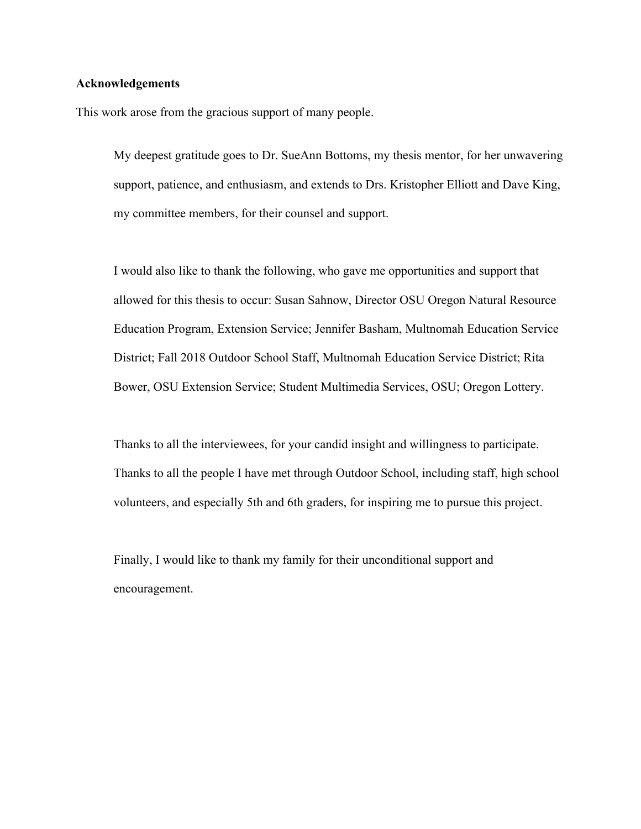### **Acknowledgements**

This work arose from the gracious support of many people.

My deepest gratitude goes to Dr. SueAnn Bottoms, my thesis mentor, for her unwavering support, patience, and enthusiasm, and extends to Drs. Kristopher Elliott and Dave King, my committee members, for their counsel and support.

I would also like to thank the following, who gave me opportunities and support that allowed for this thesis to occur: Susan Sahnow, Director OSU Oregon Natural Resource Education Program, Extension Service; Jennifer Basham, Multnomah Education Service District; Fall 2018 Outdoor School Staff, Multnomah Education Service District; Rita Bower, OSU Extension Service; Student Multimedia Services, OSU; Oregon Lottery.

Thanks to all the interviewees, for your candid insight and willingness to participate. Thanks to all the people I have met through Outdoor School, including staff, high school volunteers, and especially 5th and 6th graders, for inspiring me to pursue this project.

Finally, I would like to thank my family for their unconditional support and encouragement.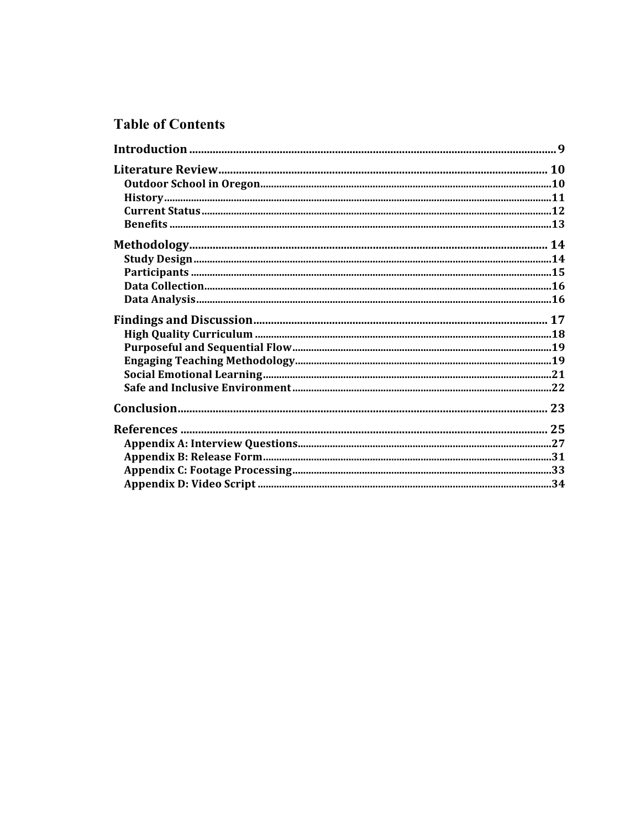# **Table of Contents**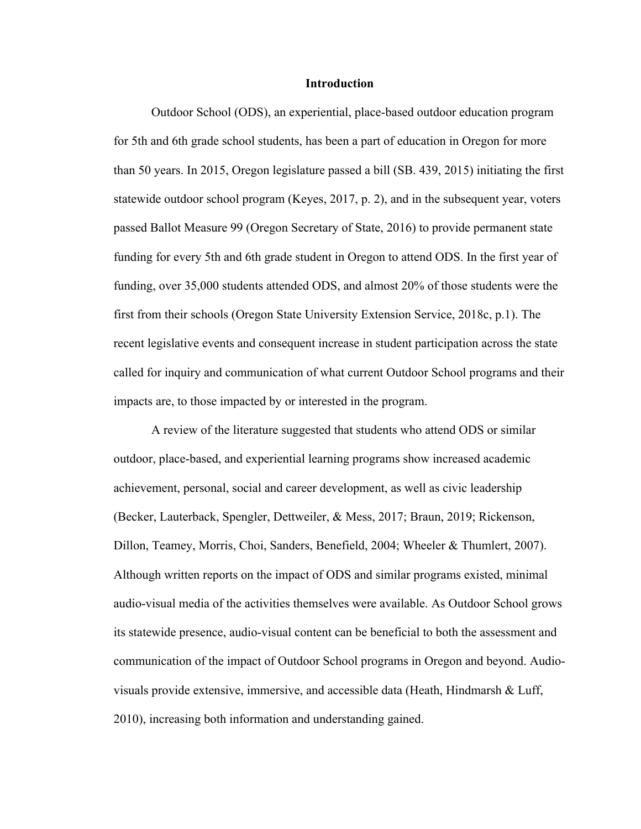#### **Introduction**

Outdoor School (ODS), an experiential, place-based outdoor education program for 5th and 6th grade school students, has been a part of education in Oregon for more than 50 years. In 2015, Oregon legislature passed a bill (SB. 439, 2015) initiating the first statewide outdoor school program (Keyes, 2017, p. 2), and in the subsequent year, voters passed Ballot Measure 99 (Oregon Secretary of State, 2016) to provide permanent state funding for every 5th and 6th grade student in Oregon to attend ODS. In the first year of funding, over 35,000 students attended ODS, and almost 20% of those students were the first from their schools (Oregon State University Extension Service, 2018c, p.1). The recent legislative events and consequent increase in student participation across the state called for inquiry and communication of what current Outdoor School programs and their impacts are, to those impacted by or interested in the program.

A review of the literature suggested that students who attend ODS or similar outdoor, place-based, and experiential learning programs show increased academic achievement, personal, social and career development, as well as civic leadership (Becker, Lauterback, Spengler, Dettweiler, & Mess, 2017; Braun, 2019; Rickenson, Dillon, Teamey, Morris, Choi, Sanders, Benefield, 2004; Wheeler & Thumlert, 2007). Although written reports on the impact of ODS and similar programs existed, minimal audio-visual media of the activities themselves were available. As Outdoor School grows its statewide presence, audio-visual content can be beneficial to both the assessment and communication of the impact of Outdoor School programs in Oregon and beyond. Audiovisuals provide extensive, immersive, and accessible data (Heath, Hindmarsh & Luff, 2010), increasing both information and understanding gained.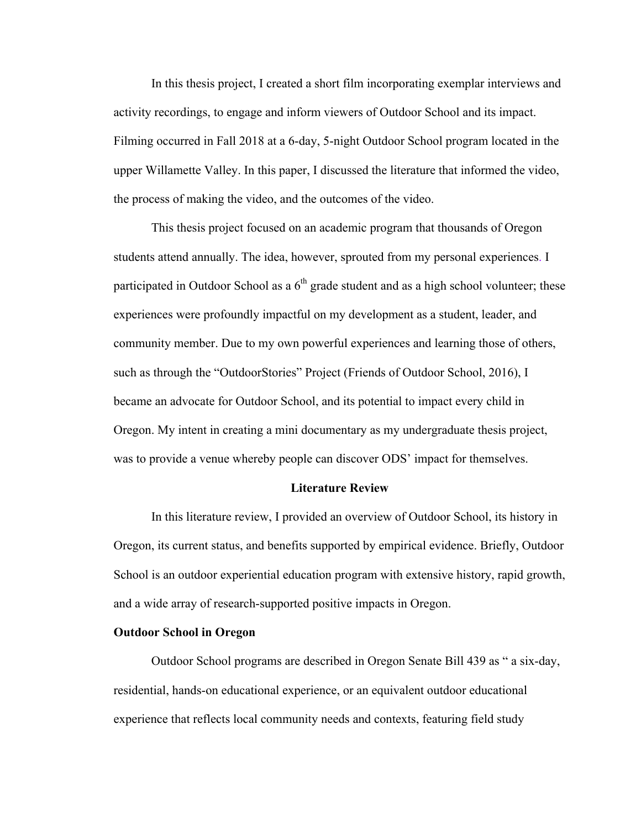In this thesis project, I created a short film incorporating exemplar interviews and activity recordings, to engage and inform viewers of Outdoor School and its impact. Filming occurred in Fall 2018 at a 6-day, 5-night Outdoor School program located in the upper Willamette Valley. In this paper, I discussed the literature that informed the video, the process of making the video, and the outcomes of the video.

This thesis project focused on an academic program that thousands of Oregon students attend annually. The idea, however, sprouted from my personal experiences. I participated in Outdoor School as a  $6<sup>th</sup>$  grade student and as a high school volunteer; these experiences were profoundly impactful on my development as a student, leader, and community member. Due to my own powerful experiences and learning those of others, such as through the "OutdoorStories" Project (Friends of Outdoor School, 2016), I became an advocate for Outdoor School, and its potential to impact every child in Oregon. My intent in creating a mini documentary as my undergraduate thesis project, was to provide a venue whereby people can discover ODS' impact for themselves.

#### **Literature Review**

In this literature review, I provided an overview of Outdoor School, its history in Oregon, its current status, and benefits supported by empirical evidence. Briefly, Outdoor School is an outdoor experiential education program with extensive history, rapid growth, and a wide array of research-supported positive impacts in Oregon.

#### **Outdoor School in Oregon**

Outdoor School programs are described in Oregon Senate Bill 439 as " a six-day, residential, hands-on educational experience, or an equivalent outdoor educational experience that reflects local community needs and contexts, featuring field study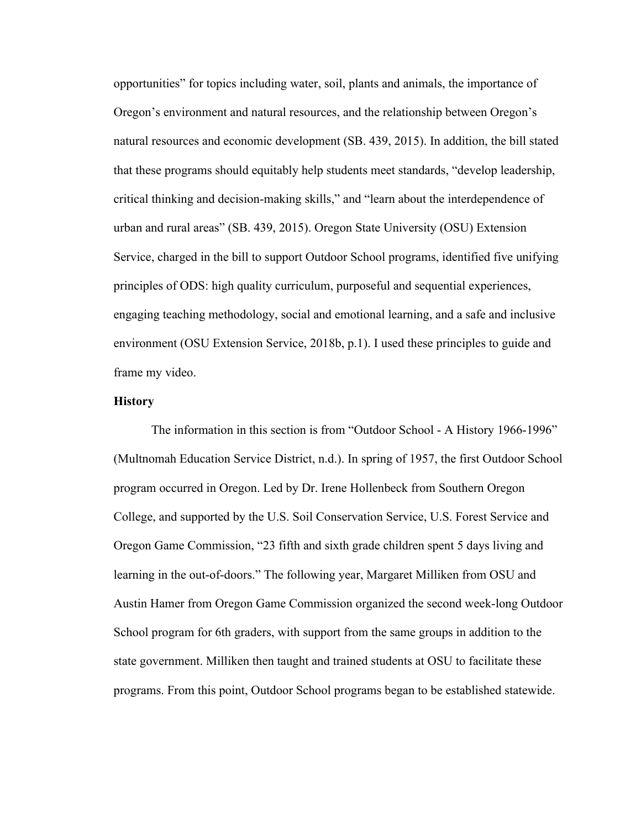opportunities" for topics including water, soil, plants and animals, the importance of Oregon's environment and natural resources, and the relationship between Oregon's natural resources and economic development (SB. 439, 2015). In addition, the bill stated that these programs should equitably help students meet standards, "develop leadership, critical thinking and decision-making skills," and "learn about the interdependence of urban and rural areas" (SB. 439, 2015). Oregon State University (OSU) Extension Service, charged in the bill to support Outdoor School programs, identified five unifying principles of ODS: high quality curriculum, purposeful and sequential experiences, engaging teaching methodology, social and emotional learning, and a safe and inclusive environment (OSU Extension Service, 2018b, p.1). I used these principles to guide and frame my video.

#### **History**

The information in this section is from "Outdoor School - A History 1966-1996" (Multnomah Education Service District, n.d.). In spring of 1957, the first Outdoor School program occurred in Oregon. Led by Dr. Irene Hollenbeck from Southern Oregon College, and supported by the U.S. Soil Conservation Service, U.S. Forest Service and Oregon Game Commission, "23 fifth and sixth grade children spent 5 days living and learning in the out-of-doors." The following year, Margaret Milliken from OSU and Austin Hamer from Oregon Game Commission organized the second week-long Outdoor School program for 6th graders, with support from the same groups in addition to the state government. Milliken then taught and trained students at OSU to facilitate these programs. From this point, Outdoor School programs began to be established statewide.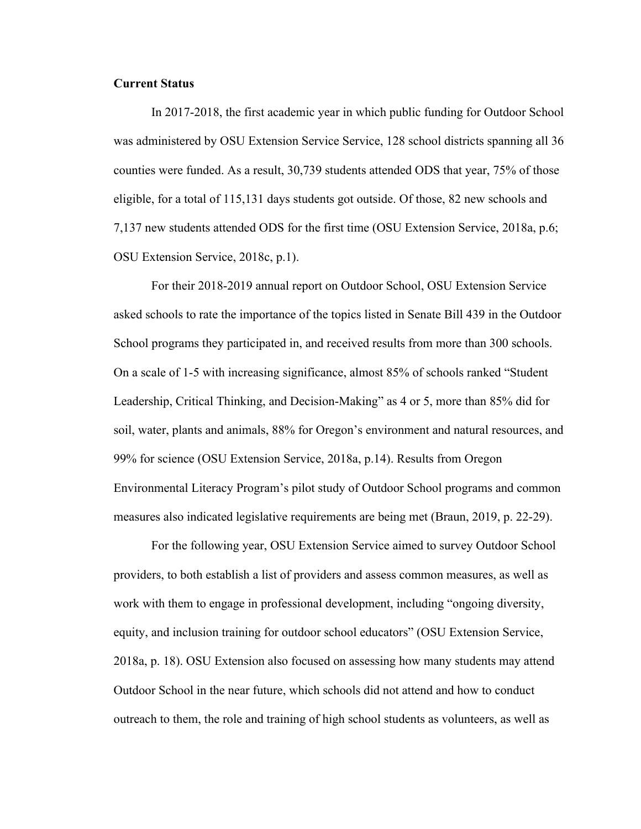#### **Current Status**

In 2017-2018, the first academic year in which public funding for Outdoor School was administered by OSU Extension Service Service, 128 school districts spanning all 36 counties were funded. As a result, 30,739 students attended ODS that year, 75% of those eligible, for a total of 115,131 days students got outside. Of those, 82 new schools and 7,137 new students attended ODS for the first time (OSU Extension Service, 2018a, p.6; OSU Extension Service, 2018c, p.1).

For their 2018-2019 annual report on Outdoor School, OSU Extension Service asked schools to rate the importance of the topics listed in Senate Bill 439 in the Outdoor School programs they participated in, and received results from more than 300 schools. On a scale of 1-5 with increasing significance, almost 85% of schools ranked "Student Leadership, Critical Thinking, and Decision-Making" as 4 or 5, more than 85% did for soil, water, plants and animals, 88% for Oregon's environment and natural resources, and 99% for science (OSU Extension Service, 2018a, p.14). Results from Oregon Environmental Literacy Program's pilot study of Outdoor School programs and common measures also indicated legislative requirements are being met (Braun, 2019, p. 22-29).

For the following year, OSU Extension Service aimed to survey Outdoor School providers, to both establish a list of providers and assess common measures, as well as work with them to engage in professional development, including "ongoing diversity, equity, and inclusion training for outdoor school educators" (OSU Extension Service, 2018a, p. 18). OSU Extension also focused on assessing how many students may attend Outdoor School in the near future, which schools did not attend and how to conduct outreach to them, the role and training of high school students as volunteers, as well as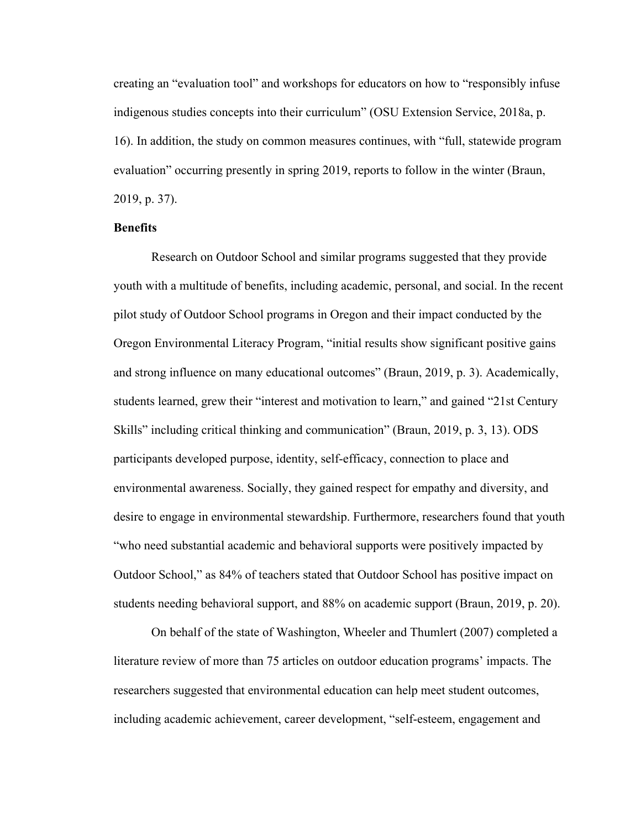creating an "evaluation tool" and workshops for educators on how to "responsibly infuse indigenous studies concepts into their curriculum" (OSU Extension Service, 2018a, p. 16). In addition, the study on common measures continues, with "full, statewide program evaluation" occurring presently in spring 2019, reports to follow in the winter (Braun, 2019, p. 37).

#### **Benefits**

Research on Outdoor School and similar programs suggested that they provide youth with a multitude of benefits, including academic, personal, and social. In the recent pilot study of Outdoor School programs in Oregon and their impact conducted by the Oregon Environmental Literacy Program, "initial results show significant positive gains and strong influence on many educational outcomes" (Braun, 2019, p. 3). Academically, students learned, grew their "interest and motivation to learn," and gained "21st Century Skills" including critical thinking and communication" (Braun, 2019, p. 3, 13). ODS participants developed purpose, identity, self-efficacy, connection to place and environmental awareness. Socially, they gained respect for empathy and diversity, and desire to engage in environmental stewardship. Furthermore, researchers found that youth "who need substantial academic and behavioral supports were positively impacted by Outdoor School," as 84% of teachers stated that Outdoor School has positive impact on students needing behavioral support, and 88% on academic support (Braun, 2019, p. 20).

On behalf of the state of Washington, Wheeler and Thumlert (2007) completed a literature review of more than 75 articles on outdoor education programs' impacts. The researchers suggested that environmental education can help meet student outcomes, including academic achievement, career development, "self-esteem, engagement and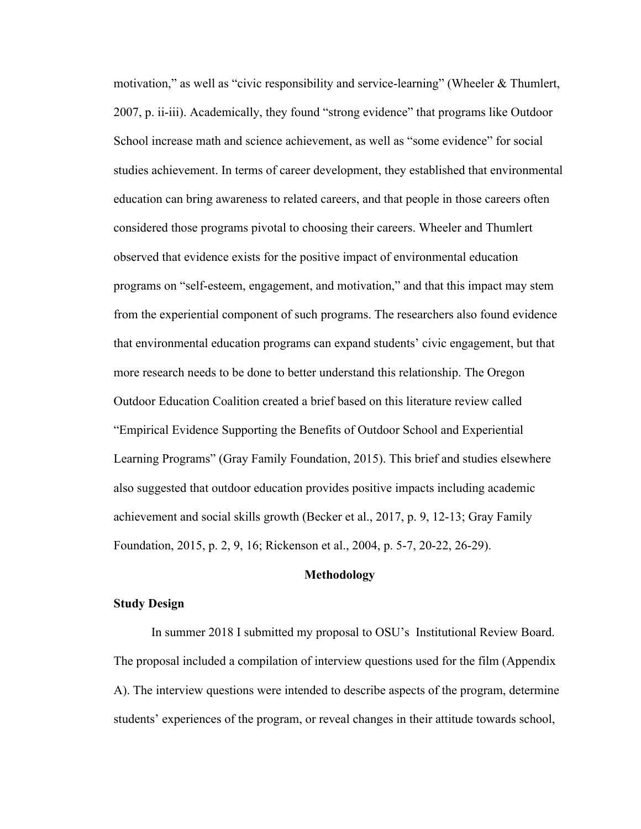motivation," as well as "civic responsibility and service-learning" (Wheeler & Thumlert, 2007, p. ii-iii). Academically, they found "strong evidence" that programs like Outdoor School increase math and science achievement, as well as "some evidence" for social studies achievement. In terms of career development, they established that environmental education can bring awareness to related careers, and that people in those careers often considered those programs pivotal to choosing their careers. Wheeler and Thumlert observed that evidence exists for the positive impact of environmental education programs on "self-esteem, engagement, and motivation," and that this impact may stem from the experiential component of such programs. The researchers also found evidence that environmental education programs can expand students' civic engagement, but that more research needs to be done to better understand this relationship. The Oregon Outdoor Education Coalition created a brief based on this literature review called "Empirical Evidence Supporting the Benefits of Outdoor School and Experiential Learning Programs" (Gray Family Foundation, 2015). This brief and studies elsewhere also suggested that outdoor education provides positive impacts including academic achievement and social skills growth (Becker et al., 2017, p. 9, 12-13; Gray Family Foundation, 2015, p. 2, 9, 16; Rickenson et al., 2004, p. 5-7, 20-22, 26-29).

#### **Methodology**

#### **Study Design**

In summer 2018 I submitted my proposal to OSU's Institutional Review Board. The proposal included a compilation of interview questions used for the film (Appendix A). The interview questions were intended to describe aspects of the program, determine students' experiences of the program, or reveal changes in their attitude towards school,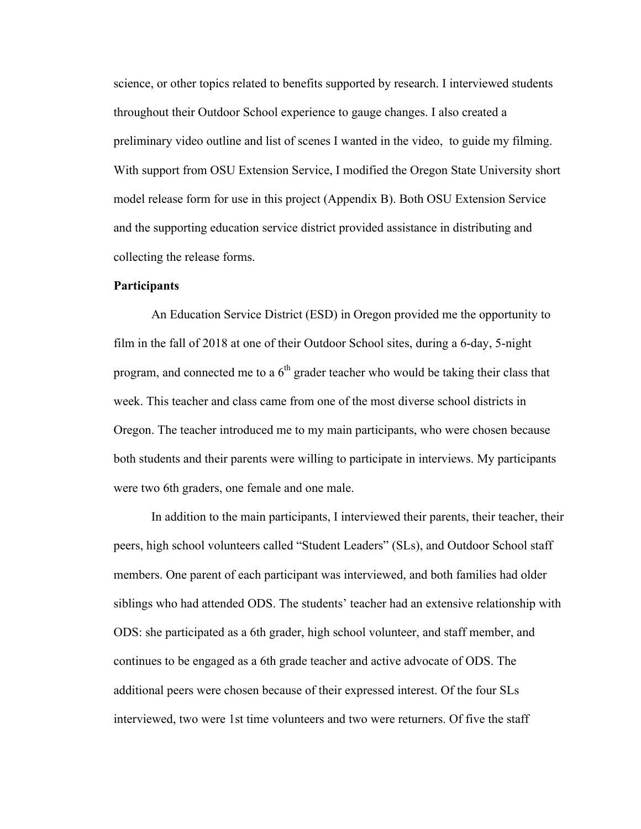science, or other topics related to benefits supported by research. I interviewed students throughout their Outdoor School experience to gauge changes. I also created a preliminary video outline and list of scenes I wanted in the video, to guide my filming. With support from OSU Extension Service, I modified the Oregon State University short model release form for use in this project (Appendix B). Both OSU Extension Service and the supporting education service district provided assistance in distributing and collecting the release forms.

#### **Participants**

An Education Service District (ESD) in Oregon provided me the opportunity to film in the fall of 2018 at one of their Outdoor School sites, during a 6-day, 5-night program, and connected me to a  $6<sup>th</sup>$  grader teacher who would be taking their class that week. This teacher and class came from one of the most diverse school districts in Oregon. The teacher introduced me to my main participants, who were chosen because both students and their parents were willing to participate in interviews. My participants were two 6th graders, one female and one male.

In addition to the main participants, I interviewed their parents, their teacher, their peers, high school volunteers called "Student Leaders" (SLs), and Outdoor School staff members. One parent of each participant was interviewed, and both families had older siblings who had attended ODS. The students' teacher had an extensive relationship with ODS: she participated as a 6th grader, high school volunteer, and staff member, and continues to be engaged as a 6th grade teacher and active advocate of ODS. The additional peers were chosen because of their expressed interest. Of the four SLs interviewed, two were 1st time volunteers and two were returners. Of five the staff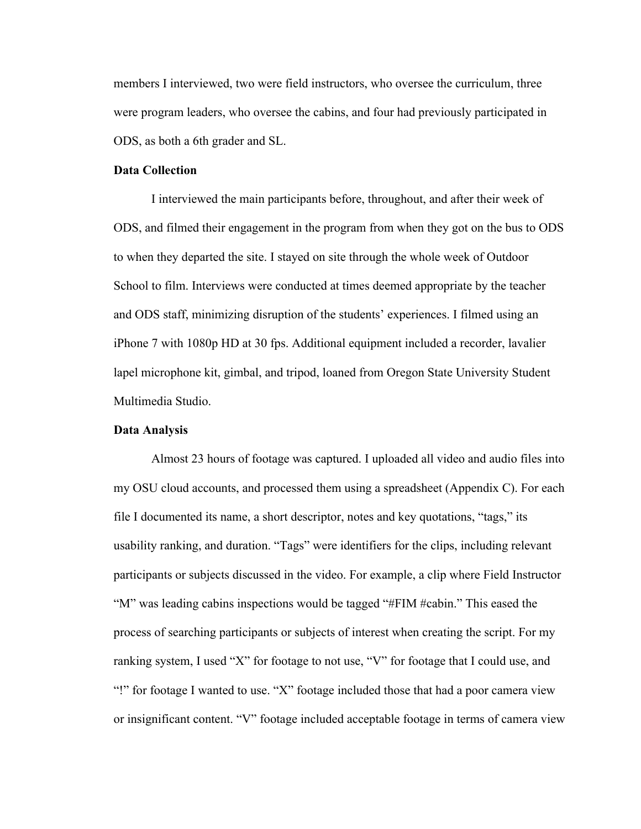members I interviewed, two were field instructors, who oversee the curriculum, three were program leaders, who oversee the cabins, and four had previously participated in ODS, as both a 6th grader and SL.

#### **Data Collection**

I interviewed the main participants before, throughout, and after their week of ODS, and filmed their engagement in the program from when they got on the bus to ODS to when they departed the site. I stayed on site through the whole week of Outdoor School to film. Interviews were conducted at times deemed appropriate by the teacher and ODS staff, minimizing disruption of the students' experiences. I filmed using an iPhone 7 with 1080p HD at 30 fps. Additional equipment included a recorder, lavalier lapel microphone kit, gimbal, and tripod, loaned from Oregon State University Student Multimedia Studio.

#### **Data Analysis**

Almost 23 hours of footage was captured. I uploaded all video and audio files into my OSU cloud accounts, and processed them using a spreadsheet (Appendix C). For each file I documented its name, a short descriptor, notes and key quotations, "tags," its usability ranking, and duration. "Tags" were identifiers for the clips, including relevant participants or subjects discussed in the video. For example, a clip where Field Instructor "M" was leading cabins inspections would be tagged "#FIM #cabin." This eased the process of searching participants or subjects of interest when creating the script. For my ranking system, I used "X" for footage to not use, "V" for footage that I could use, and "!" for footage I wanted to use. "X" footage included those that had a poor camera view or insignificant content. "V" footage included acceptable footage in terms of camera view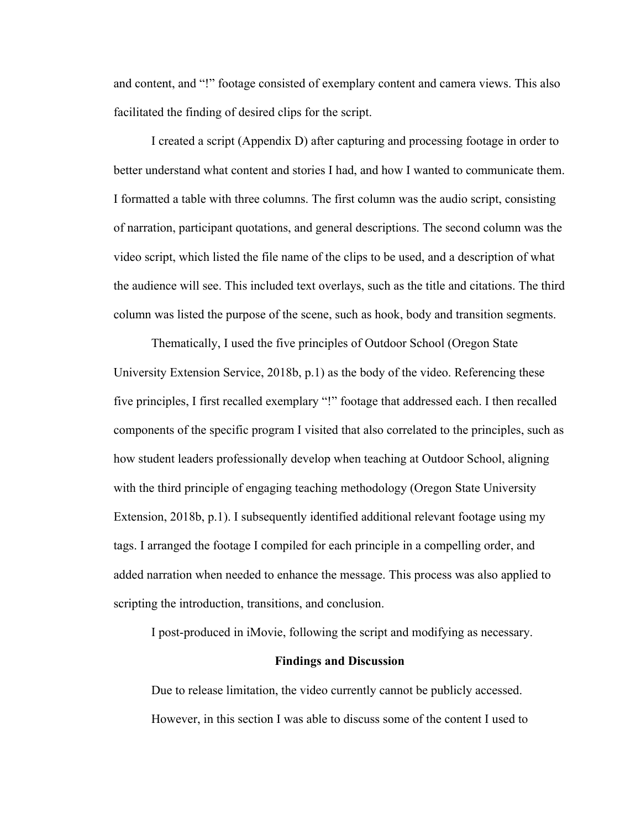and content, and "!" footage consisted of exemplary content and camera views. This also facilitated the finding of desired clips for the script.

I created a script (Appendix D) after capturing and processing footage in order to better understand what content and stories I had, and how I wanted to communicate them. I formatted a table with three columns. The first column was the audio script, consisting of narration, participant quotations, and general descriptions. The second column was the video script, which listed the file name of the clips to be used, and a description of what the audience will see. This included text overlays, such as the title and citations. The third column was listed the purpose of the scene, such as hook, body and transition segments.

Thematically, I used the five principles of Outdoor School (Oregon State University Extension Service, 2018b, p.1) as the body of the video. Referencing these five principles, I first recalled exemplary "!" footage that addressed each. I then recalled components of the specific program I visited that also correlated to the principles, such as how student leaders professionally develop when teaching at Outdoor School, aligning with the third principle of engaging teaching methodology (Oregon State University Extension, 2018b, p.1). I subsequently identified additional relevant footage using my tags. I arranged the footage I compiled for each principle in a compelling order, and added narration when needed to enhance the message. This process was also applied to scripting the introduction, transitions, and conclusion.

I post-produced in iMovie, following the script and modifying as necessary.

#### **Findings and Discussion**

Due to release limitation, the video currently cannot be publicly accessed. However, in this section I was able to discuss some of the content I used to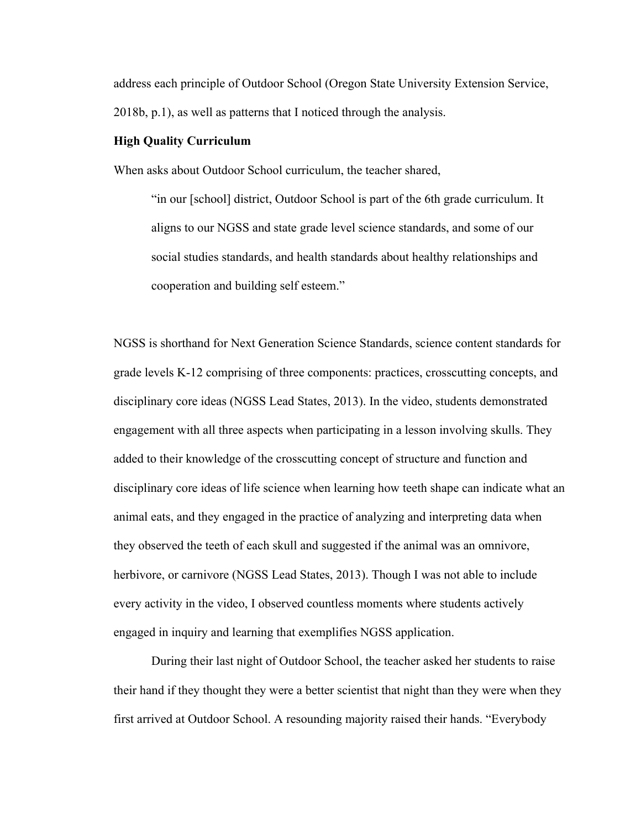address each principle of Outdoor School (Oregon State University Extension Service, 2018b, p.1), as well as patterns that I noticed through the analysis.

#### **High Quality Curriculum**

When asks about Outdoor School curriculum, the teacher shared,

"in our [school] district, Outdoor School is part of the 6th grade curriculum. It aligns to our NGSS and state grade level science standards, and some of our social studies standards, and health standards about healthy relationships and cooperation and building self esteem."

NGSS is shorthand for Next Generation Science Standards, science content standards for grade levels K-12 comprising of three components: practices, crosscutting concepts, and disciplinary core ideas (NGSS Lead States, 2013). In the video, students demonstrated engagement with all three aspects when participating in a lesson involving skulls. They added to their knowledge of the crosscutting concept of structure and function and disciplinary core ideas of life science when learning how teeth shape can indicate what an animal eats, and they engaged in the practice of analyzing and interpreting data when they observed the teeth of each skull and suggested if the animal was an omnivore, herbivore, or carnivore (NGSS Lead States, 2013). Though I was not able to include every activity in the video, I observed countless moments where students actively engaged in inquiry and learning that exemplifies NGSS application.

During their last night of Outdoor School, the teacher asked her students to raise their hand if they thought they were a better scientist that night than they were when they first arrived at Outdoor School. A resounding majority raised their hands. "Everybody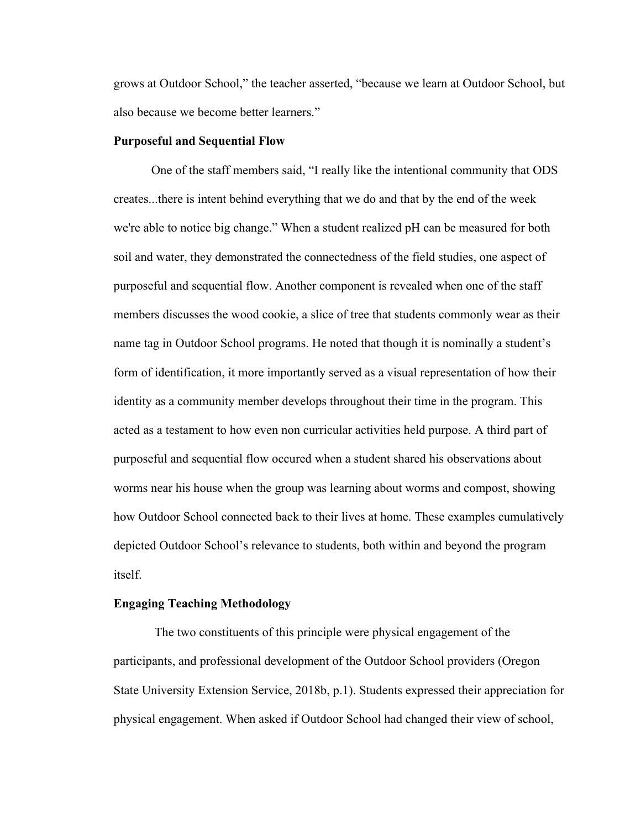grows at Outdoor School," the teacher asserted, "because we learn at Outdoor School, but also because we become better learners."

#### **Purposeful and Sequential Flow**

One of the staff members said, "I really like the intentional community that ODS creates...there is intent behind everything that we do and that by the end of the week we're able to notice big change." When a student realized pH can be measured for both soil and water, they demonstrated the connectedness of the field studies, one aspect of purposeful and sequential flow. Another component is revealed when one of the staff members discusses the wood cookie, a slice of tree that students commonly wear as their name tag in Outdoor School programs. He noted that though it is nominally a student's form of identification, it more importantly served as a visual representation of how their identity as a community member develops throughout their time in the program. This acted as a testament to how even non curricular activities held purpose. A third part of purposeful and sequential flow occured when a student shared his observations about worms near his house when the group was learning about worms and compost, showing how Outdoor School connected back to their lives at home. These examples cumulatively depicted Outdoor School's relevance to students, both within and beyond the program itself.

#### **Engaging Teaching Methodology**

The two constituents of this principle were physical engagement of the participants, and professional development of the Outdoor School providers (Oregon State University Extension Service, 2018b, p.1). Students expressed their appreciation for physical engagement. When asked if Outdoor School had changed their view of school,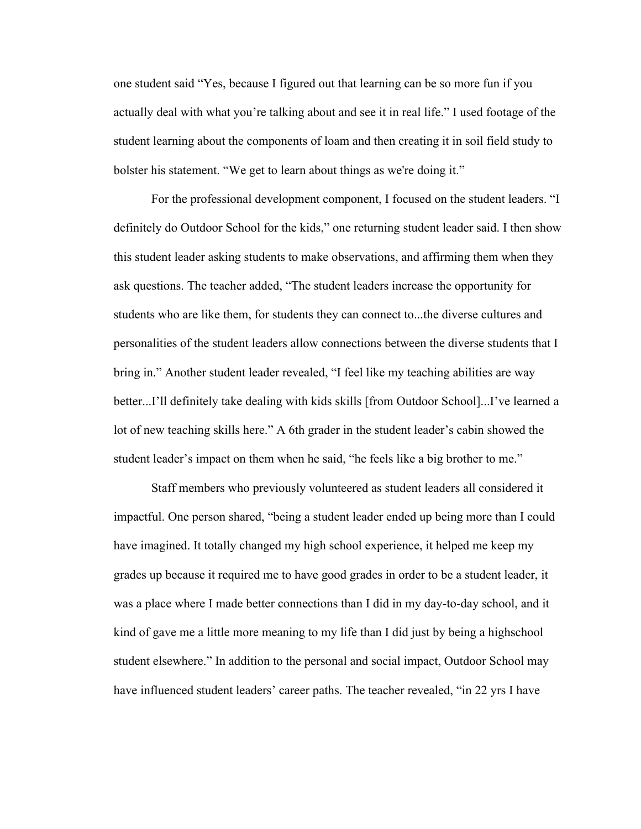one student said "Yes, because I figured out that learning can be so more fun if you actually deal with what you're talking about and see it in real life." I used footage of the student learning about the components of loam and then creating it in soil field study to bolster his statement. "We get to learn about things as we're doing it."

For the professional development component, I focused on the student leaders. "I definitely do Outdoor School for the kids," one returning student leader said. I then show this student leader asking students to make observations, and affirming them when they ask questions. The teacher added, "The student leaders increase the opportunity for students who are like them, for students they can connect to...the diverse cultures and personalities of the student leaders allow connections between the diverse students that I bring in." Another student leader revealed, "I feel like my teaching abilities are way better...I'll definitely take dealing with kids skills [from Outdoor School]...I've learned a lot of new teaching skills here." A 6th grader in the student leader's cabin showed the student leader's impact on them when he said, "he feels like a big brother to me."

Staff members who previously volunteered as student leaders all considered it impactful. One person shared, "being a student leader ended up being more than I could have imagined. It totally changed my high school experience, it helped me keep my grades up because it required me to have good grades in order to be a student leader, it was a place where I made better connections than I did in my day-to-day school, and it kind of gave me a little more meaning to my life than I did just by being a highschool student elsewhere." In addition to the personal and social impact, Outdoor School may have influenced student leaders' career paths. The teacher revealed, "in 22 yrs I have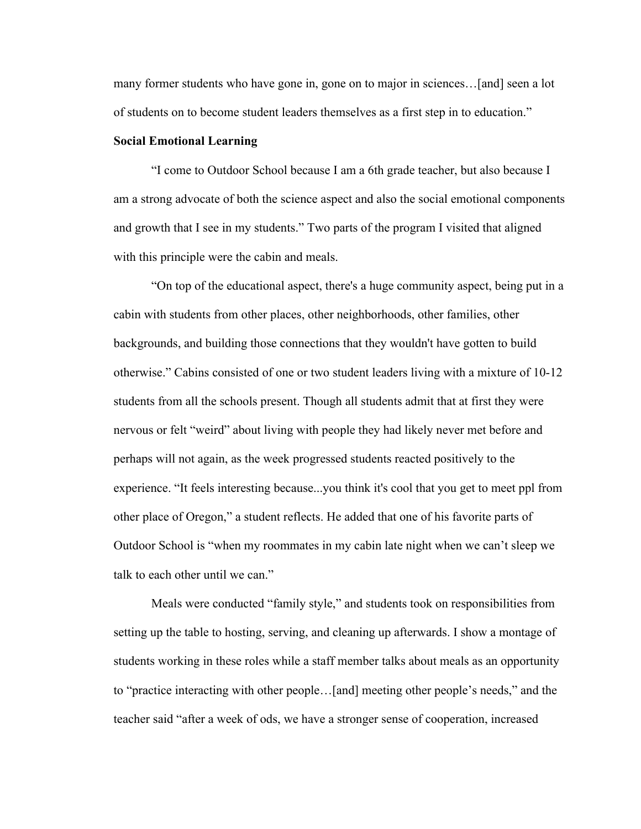many former students who have gone in, gone on to major in sciences…[and] seen a lot of students on to become student leaders themselves as a first step in to education."

#### **Social Emotional Learning**

"I come to Outdoor School because I am a 6th grade teacher, but also because I am a strong advocate of both the science aspect and also the social emotional components and growth that I see in my students." Two parts of the program I visited that aligned with this principle were the cabin and meals.

"On top of the educational aspect, there's a huge community aspect, being put in a cabin with students from other places, other neighborhoods, other families, other backgrounds, and building those connections that they wouldn't have gotten to build otherwise." Cabins consisted of one or two student leaders living with a mixture of 10-12 students from all the schools present. Though all students admit that at first they were nervous or felt "weird" about living with people they had likely never met before and perhaps will not again, as the week progressed students reacted positively to the experience. "It feels interesting because...you think it's cool that you get to meet ppl from other place of Oregon," a student reflects. He added that one of his favorite parts of Outdoor School is "when my roommates in my cabin late night when we can't sleep we talk to each other until we can."

Meals were conducted "family style," and students took on responsibilities from setting up the table to hosting, serving, and cleaning up afterwards. I show a montage of students working in these roles while a staff member talks about meals as an opportunity to "practice interacting with other people…[and] meeting other people's needs," and the teacher said "after a week of ods, we have a stronger sense of cooperation, increased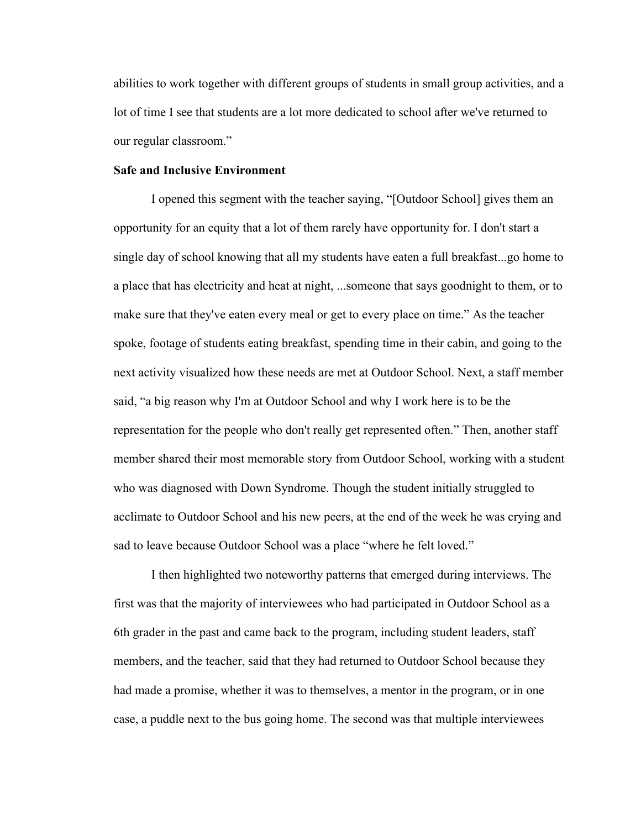abilities to work together with different groups of students in small group activities, and a lot of time I see that students are a lot more dedicated to school after we've returned to our regular classroom."

#### **Safe and Inclusive Environment**

I opened this segment with the teacher saying, "[Outdoor School] gives them an opportunity for an equity that a lot of them rarely have opportunity for. I don't start a single day of school knowing that all my students have eaten a full breakfast...go home to a place that has electricity and heat at night, ...someone that says goodnight to them, or to make sure that they've eaten every meal or get to every place on time." As the teacher spoke, footage of students eating breakfast, spending time in their cabin, and going to the next activity visualized how these needs are met at Outdoor School. Next, a staff member said, "a big reason why I'm at Outdoor School and why I work here is to be the representation for the people who don't really get represented often." Then, another staff member shared their most memorable story from Outdoor School, working with a student who was diagnosed with Down Syndrome. Though the student initially struggled to acclimate to Outdoor School and his new peers, at the end of the week he was crying and sad to leave because Outdoor School was a place "where he felt loved."

I then highlighted two noteworthy patterns that emerged during interviews. The first was that the majority of interviewees who had participated in Outdoor School as a 6th grader in the past and came back to the program, including student leaders, staff members, and the teacher, said that they had returned to Outdoor School because they had made a promise, whether it was to themselves, a mentor in the program, or in one case, a puddle next to the bus going home. The second was that multiple interviewees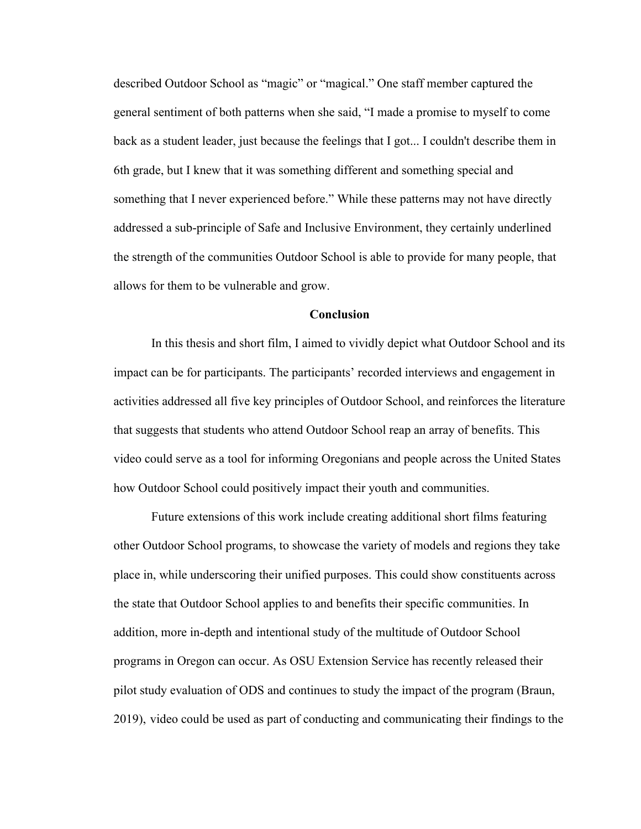described Outdoor School as "magic" or "magical." One staff member captured the general sentiment of both patterns when she said, "I made a promise to myself to come back as a student leader, just because the feelings that I got... I couldn't describe them in 6th grade, but I knew that it was something different and something special and something that I never experienced before." While these patterns may not have directly addressed a sub-principle of Safe and Inclusive Environment, they certainly underlined the strength of the communities Outdoor School is able to provide for many people, that allows for them to be vulnerable and grow.

#### **Conclusion**

In this thesis and short film, I aimed to vividly depict what Outdoor School and its impact can be for participants. The participants' recorded interviews and engagement in activities addressed all five key principles of Outdoor School, and reinforces the literature that suggests that students who attend Outdoor School reap an array of benefits. This video could serve as a tool for informing Oregonians and people across the United States how Outdoor School could positively impact their youth and communities.

Future extensions of this work include creating additional short films featuring other Outdoor School programs, to showcase the variety of models and regions they take place in, while underscoring their unified purposes. This could show constituents across the state that Outdoor School applies to and benefits their specific communities. In addition, more in-depth and intentional study of the multitude of Outdoor School programs in Oregon can occur. As OSU Extension Service has recently released their pilot study evaluation of ODS and continues to study the impact of the program (Braun, 2019), video could be used as part of conducting and communicating their findings to the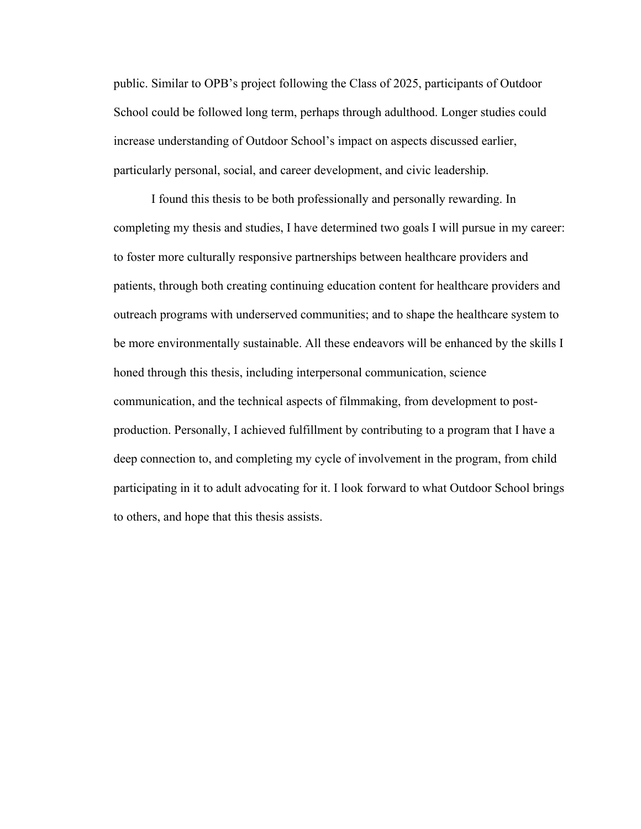public. Similar to OPB's project following the Class of 2025, participants of Outdoor School could be followed long term, perhaps through adulthood. Longer studies could increase understanding of Outdoor School's impact on aspects discussed earlier, particularly personal, social, and career development, and civic leadership.

I found this thesis to be both professionally and personally rewarding. In completing my thesis and studies, I have determined two goals I will pursue in my career: to foster more culturally responsive partnerships between healthcare providers and patients, through both creating continuing education content for healthcare providers and outreach programs with underserved communities; and to shape the healthcare system to be more environmentally sustainable. All these endeavors will be enhanced by the skills I honed through this thesis, including interpersonal communication, science communication, and the technical aspects of filmmaking, from development to postproduction. Personally, I achieved fulfillment by contributing to a program that I have a deep connection to, and completing my cycle of involvement in the program, from child participating in it to adult advocating for it. I look forward to what Outdoor School brings to others, and hope that this thesis assists.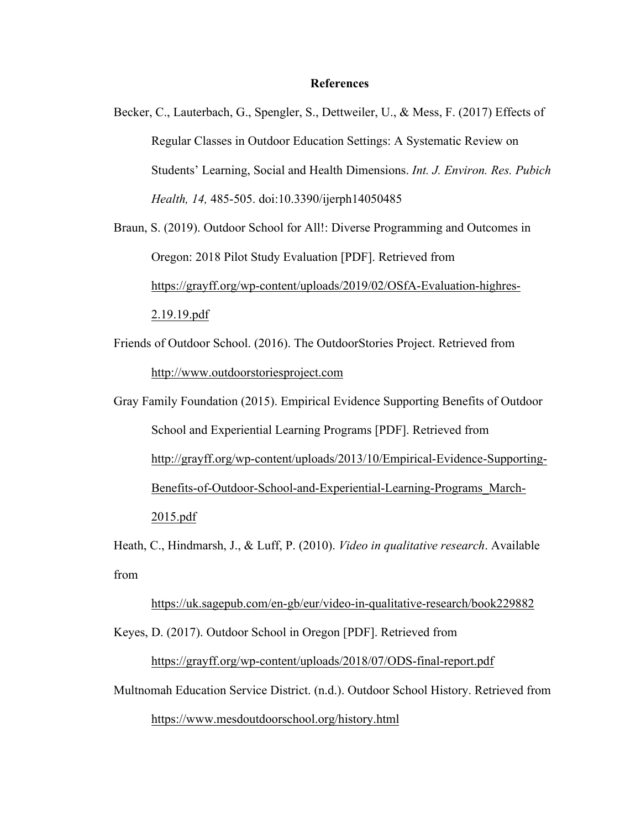#### **References**

Becker, C., Lauterbach, G., Spengler, S., Dettweiler, U., & Mess, F. (2017) Effects of Regular Classes in Outdoor Education Settings: A Systematic Review on Students' Learning, Social and Health Dimensions. *Int. J. Environ. Res. Pubich Health, 14,* 485-505. doi:10.3390/ijerph14050485

Braun, S. (2019). Outdoor School for All!: Diverse Programming and Outcomes in Oregon: 2018 Pilot Study Evaluation [PDF]. Retrieved from https://grayff.org/wp-content/uploads/2019/02/OSfA-Evaluation-highres-2.19.19.pdf

Friends of Outdoor School. (2016). The OutdoorStories Project. Retrieved from http://www.outdoorstoriesproject.com

Gray Family Foundation (2015). Empirical Evidence Supporting Benefits of Outdoor School and Experiential Learning Programs [PDF]. Retrieved from http://grayff.org/wp-content/uploads/2013/10/Empirical-Evidence-Supporting-Benefits-of-Outdoor-School-and-Experiential-Learning-Programs\_March-2015.pdf

Heath, C., Hindmarsh, J., & Luff, P. (2010). *Video in qualitative research*. Available from

https://uk.sagepub.com/en-gb/eur/video-in-qualitative-research/book229882

Keyes, D. (2017). Outdoor School in Oregon [PDF]. Retrieved from

https://grayff.org/wp-content/uploads/2018/07/ODS-final-report.pdf

Multnomah Education Service District. (n.d.). Outdoor School History. Retrieved from

https://www.mesdoutdoorschool.org/history.html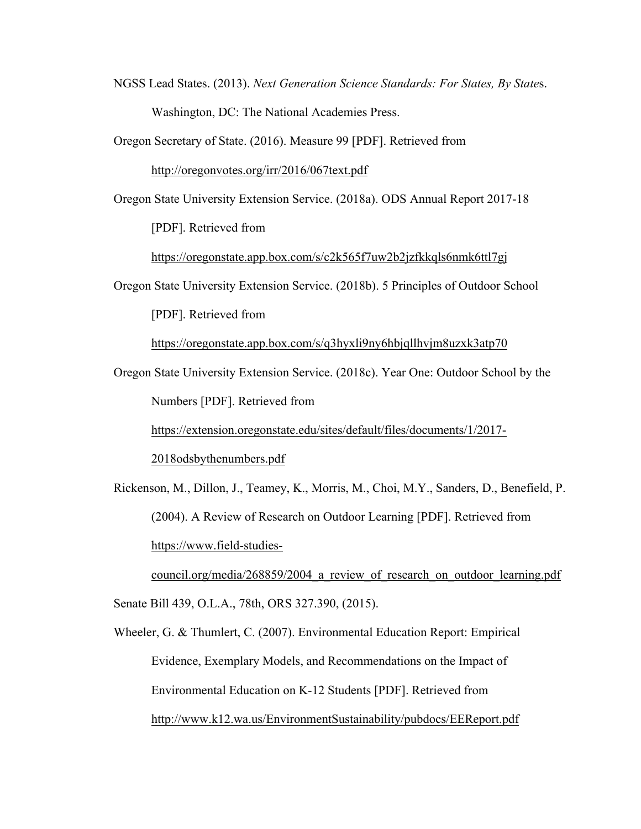NGSS Lead States. (2013). *Next Generation Science Standards: For States, By State*s. Washington, DC: The National Academies Press.

Oregon Secretary of State. (2016). Measure 99 [PDF]. Retrieved from

http://oregonvotes.org/irr/2016/067text.pdf

Oregon State University Extension Service. (2018a). ODS Annual Report 2017-18

[PDF]. Retrieved from

https://oregonstate.app.box.com/s/c2k565f7uw2b2jzfkkqls6nmk6ttl7gj

Oregon State University Extension Service. (2018b). 5 Principles of Outdoor School

[PDF]. Retrieved from

https://oregonstate.app.box.com/s/q3hyxli9ny6hbjqllhvjm8uzxk3atp70

Oregon State University Extension Service. (2018c). Year One: Outdoor School by the Numbers [PDF]. Retrieved from

https://extension.oregonstate.edu/sites/default/files/documents/1/2017-

2018odsbythenumbers.pdf

Rickenson, M., Dillon, J., Teamey, K., Morris, M., Choi, M.Y., Sanders, D., Benefield, P. (2004). A Review of Research on Outdoor Learning [PDF]. Retrieved from https://www.field-studies-

council.org/media/268859/2004 a review of research on outdoor learning.pdf

Senate Bill 439, O.L.A., 78th, ORS 327.390, (2015).

Wheeler, G. & Thumlert, C. (2007). Environmental Education Report: Empirical Evidence, Exemplary Models, and Recommendations on the Impact of Environmental Education on K-12 Students [PDF]. Retrieved from http://www.k12.wa.us/EnvironmentSustainability/pubdocs/EEReport.pdf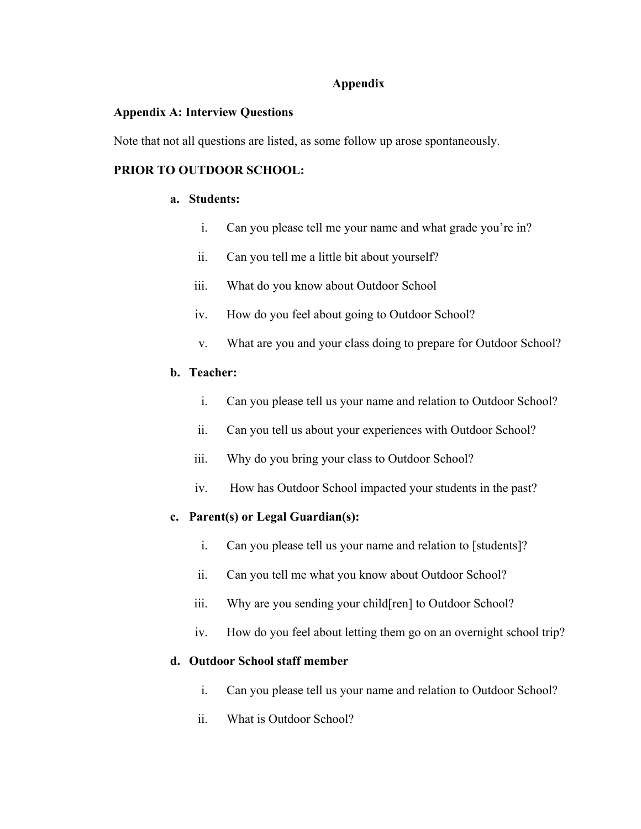### **Appendix**

### **Appendix A: Interview Questions**

Note that not all questions are listed, as some follow up arose spontaneously.

## **PRIOR TO OUTDOOR SCHOOL:**

### **a. Students:**

- i. Can you please tell me your name and what grade you're in?
- ii. Can you tell me a little bit about yourself?
- iii. What do you know about Outdoor School
- iv. How do you feel about going to Outdoor School?
- v. What are you and your class doing to prepare for Outdoor School?

## **b. Teacher:**

- i. Can you please tell us your name and relation to Outdoor School?
- ii. Can you tell us about your experiences with Outdoor School?
- iii. Why do you bring your class to Outdoor School?
- iv. How has Outdoor School impacted your students in the past?

## **c. Parent(s) or Legal Guardian(s):**

- i. Can you please tell us your name and relation to [students]?
- ii. Can you tell me what you know about Outdoor School?
- iii. Why are you sending your child[ren] to Outdoor School?
- iv. How do you feel about letting them go on an overnight school trip?

## **d. Outdoor School staff member**

- i. Can you please tell us your name and relation to Outdoor School?
- ii. What is Outdoor School?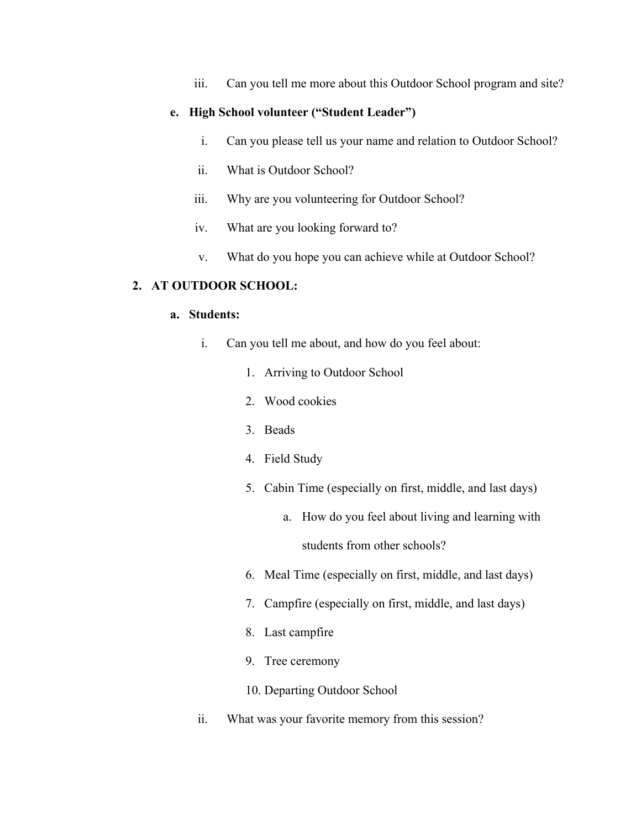iii. Can you tell me more about this Outdoor School program and site?

### **e. High School volunteer ("Student Leader")**

- i. Can you please tell us your name and relation to Outdoor School?
- ii. What is Outdoor School?
- iii. Why are you volunteering for Outdoor School?
- iv. What are you looking forward to?
- v. What do you hope you can achieve while at Outdoor School?

#### **2. AT OUTDOOR SCHOOL:**

#### **a. Students:**

- i. Can you tell me about, and how do you feel about:
	- 1. Arriving to Outdoor School
	- 2. Wood cookies
	- 3. Beads
	- 4. Field Study
	- 5. Cabin Time (especially on first, middle, and last days)
		- a. How do you feel about living and learning with students from other schools?
	- 6. Meal Time (especially on first, middle, and last days)
	- 7. Campfire (especially on first, middle, and last days)
	- 8. Last campfire
	- 9. Tree ceremony
	- 10. Departing Outdoor School
- ii. What was your favorite memory from this session?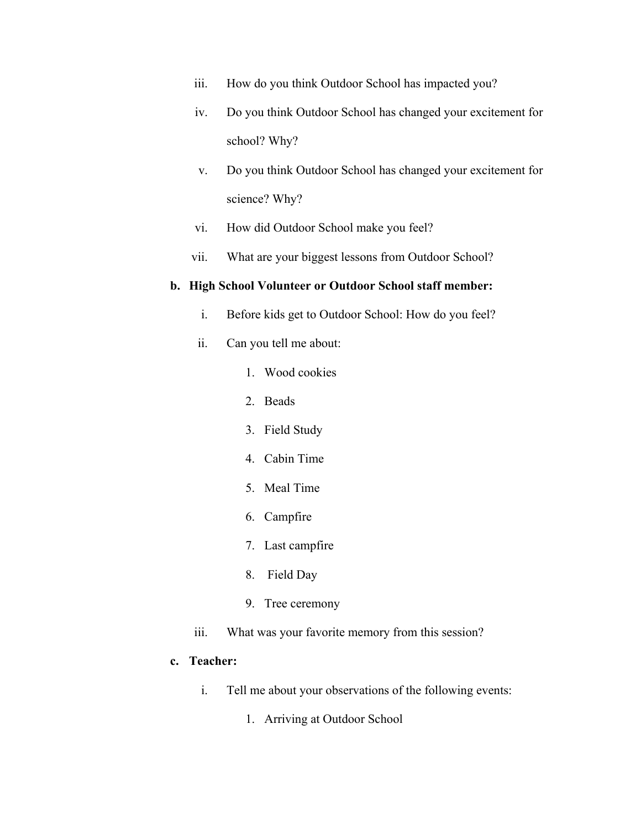- iii. How do you think Outdoor School has impacted you?
- iv. Do you think Outdoor School has changed your excitement for school? Why?
- v. Do you think Outdoor School has changed your excitement for science? Why?
- vi. How did Outdoor School make you feel?
- vii. What are your biggest lessons from Outdoor School?

#### **b. High School Volunteer or Outdoor School staff member:**

- i. Before kids get to Outdoor School: How do you feel?
- ii. Can you tell me about:
	- 1. Wood cookies
	- 2. Beads
	- 3. Field Study
	- 4. Cabin Time
	- 5. Meal Time
	- 6. Campfire
	- 7. Last campfire
	- 8. Field Day
	- 9. Tree ceremony
- iii. What was your favorite memory from this session?

## **c. Teacher:**

- i. Tell me about your observations of the following events:
	- 1. Arriving at Outdoor School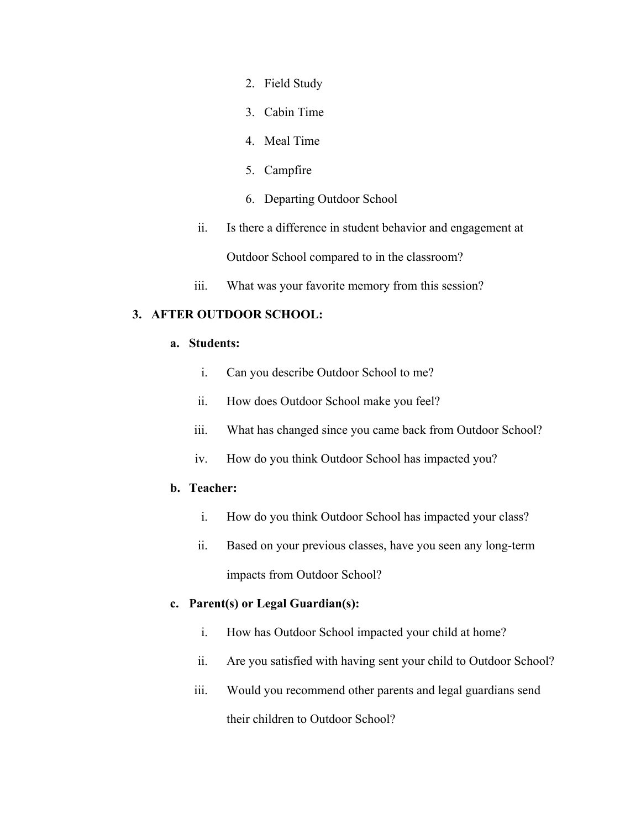- 2. Field Study
- 3. Cabin Time
- 4. Meal Time
- 5. Campfire
- 6. Departing Outdoor School
- ii. Is there a difference in student behavior and engagement at Outdoor School compared to in the classroom?
- iii. What was your favorite memory from this session?

## **3. AFTER OUTDOOR SCHOOL:**

### **a. Students:**

- i. Can you describe Outdoor School to me?
- ii. How does Outdoor School make you feel?
- iii. What has changed since you came back from Outdoor School?
- iv. How do you think Outdoor School has impacted you?

## **b. Teacher:**

- i. How do you think Outdoor School has impacted your class?
- ii. Based on your previous classes, have you seen any long-term impacts from Outdoor School?

## **c. Parent(s) or Legal Guardian(s):**

- i. How has Outdoor School impacted your child at home?
- ii. Are you satisfied with having sent your child to Outdoor School?
- iii. Would you recommend other parents and legal guardians send their children to Outdoor School?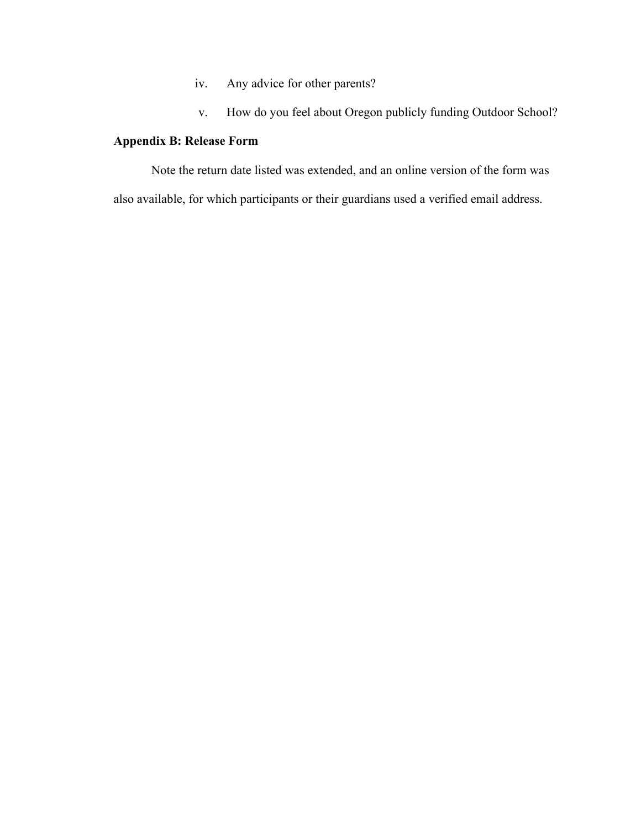- iv. Any advice for other parents?
- v. How do you feel about Oregon publicly funding Outdoor School?

## **Appendix B: Release Form**

Note the return date listed was extended, and an online version of the form was also available, for which participants or their guardians used a verified email address.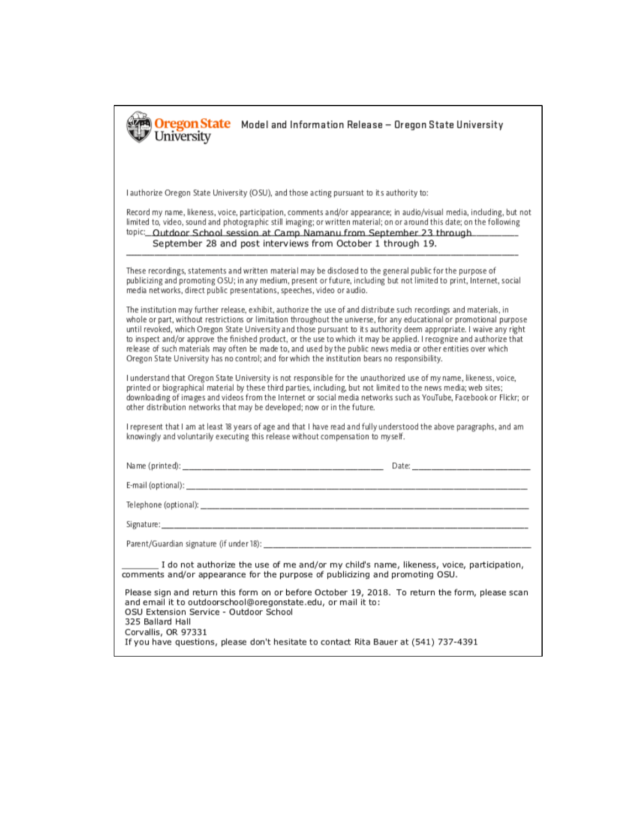| Oregon State<br>Model and Information Release - Oregon State University<br>University                                                                                                                                                                                                                                                                                                                                                                                                                                                                                                                                                                                                                             |  |  |  |  |
|-------------------------------------------------------------------------------------------------------------------------------------------------------------------------------------------------------------------------------------------------------------------------------------------------------------------------------------------------------------------------------------------------------------------------------------------------------------------------------------------------------------------------------------------------------------------------------------------------------------------------------------------------------------------------------------------------------------------|--|--|--|--|
|                                                                                                                                                                                                                                                                                                                                                                                                                                                                                                                                                                                                                                                                                                                   |  |  |  |  |
| I authorize Oregon State University (OSU), and those acting pursuant to its authority to:                                                                                                                                                                                                                                                                                                                                                                                                                                                                                                                                                                                                                         |  |  |  |  |
| Record my name, likeness, voice, participation, comments and/or appearance; in audio/visual media, including, but not<br>limited to, video, sound and photographic still imaging; or written material; on or around this date; on the following<br>topic: Outdoor School session at Camp Namanu from September 23 through<br>September 28 and post interviews from October 1 through 19.                                                                                                                                                                                                                                                                                                                          |  |  |  |  |
| These recordings, statements and written material may be disclosed to the general public for the purpose of<br>publicizing and promoting OSU; in any medium, present or future, including but not limited to print, Internet, social<br>media net works, direct public presentations, speeches, video or audio.                                                                                                                                                                                                                                                                                                                                                                                                   |  |  |  |  |
| The institution may further release, exhibit, authorize the use of and distribute such recordings and materials, in<br>whole or part, without restrictions or limitation throughout the universe, for any educational or promotional purpose<br>until revoked, which Oregon State University and those pursuant to its authority deem appropriate. I waive any right<br>to inspect and/or approve the finished product, or the use to which it may be applied. I recognize and authorize that<br>release of such materials may often be made to, and used by the public news media or other entities over which<br>Oregon State University has no control; and for which the institution bears no responsibility. |  |  |  |  |
| I understand that Oregon State University is not responsible for the unauthorized use of my name, likeness, voice,<br>printed or biographical material by these third parties, including, but not limited to the news media; web sites;<br>downloading of images and videos from the Internet or social media networks such as YouTube, Facebook or Flickr; or<br>other distribution networks that may be developed; now or in the future.                                                                                                                                                                                                                                                                        |  |  |  |  |
| I represent that I am at least 18 years of age and that I have read and fully understood the above paragraphs, and am<br>knowingly and voluntarily executing this release without compensation to myself.                                                                                                                                                                                                                                                                                                                                                                                                                                                                                                         |  |  |  |  |
|                                                                                                                                                                                                                                                                                                                                                                                                                                                                                                                                                                                                                                                                                                                   |  |  |  |  |
|                                                                                                                                                                                                                                                                                                                                                                                                                                                                                                                                                                                                                                                                                                                   |  |  |  |  |
|                                                                                                                                                                                                                                                                                                                                                                                                                                                                                                                                                                                                                                                                                                                   |  |  |  |  |
|                                                                                                                                                                                                                                                                                                                                                                                                                                                                                                                                                                                                                                                                                                                   |  |  |  |  |
|                                                                                                                                                                                                                                                                                                                                                                                                                                                                                                                                                                                                                                                                                                                   |  |  |  |  |
| _ I do not authorize the use of me and/or my child's name, likeness, voice, participation,<br>comments and/or appearance for the purpose of publicizing and promoting OSU.                                                                                                                                                                                                                                                                                                                                                                                                                                                                                                                                        |  |  |  |  |
| Please sign and return this form on or before October 19, 2018. To return the form, please scan<br>and email it to outdoorschool@oregonstate.edu, or mail it to:<br>OSU Extension Service - Outdoor School                                                                                                                                                                                                                                                                                                                                                                                                                                                                                                        |  |  |  |  |
| 325 Ballard Hall<br>Corvallis, OR 97331<br>If you have questions, please don't hesitate to contact Rita Bauer at (541) 737-4391                                                                                                                                                                                                                                                                                                                                                                                                                                                                                                                                                                                   |  |  |  |  |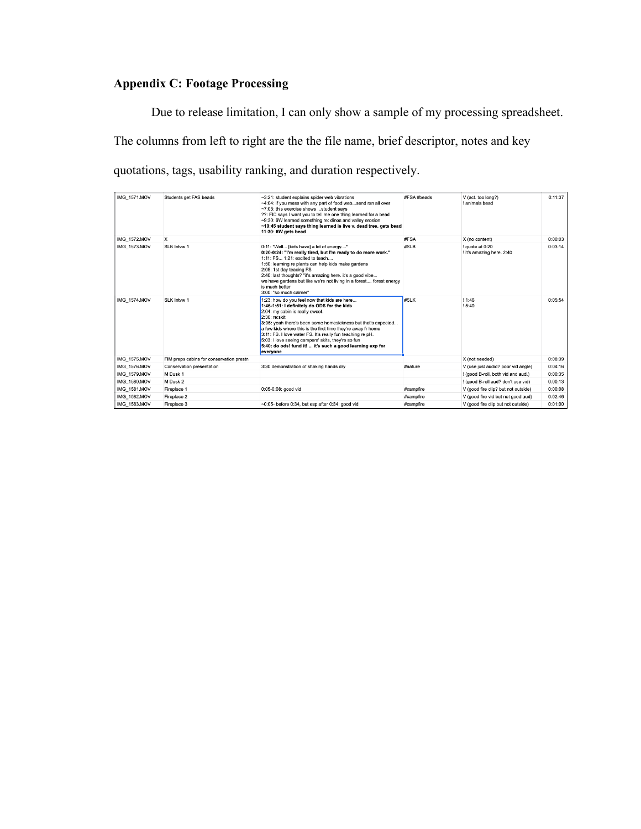# **Appendix C: Footage Processing**

Due to release limitation, I can only show a sample of my processing spreadsheet. The columns from left to right are the the file name, brief descriptor, notes and key quotations, tags, usability ranking, and duration respectively.

| <b>IMG 1571.MOV</b> | Students get FAS beads                   | ~3:21: student explains spider web vibrations<br>~4:04: if you mess with any part of food websend rxn all over<br>~7:05: this exercise shows student says<br>??: FIC says I want you to tell me one thing learned for a bead<br>~9:30: 6W learned something re: dinos and valley erosion<br>~10:45 student says thing learned is live v. dead tree, gets bead<br>11:30: 6W gets bead                                                                                          | #FSA #beads | V (act. too long?)<br>I animals bead         | 0:11:37 |
|---------------------|------------------------------------------|-------------------------------------------------------------------------------------------------------------------------------------------------------------------------------------------------------------------------------------------------------------------------------------------------------------------------------------------------------------------------------------------------------------------------------------------------------------------------------|-------------|----------------------------------------------|---------|
| <b>IMG 1572,MOV</b> | $\times$                                 |                                                                                                                                                                                                                                                                                                                                                                                                                                                                               | #FSA        | X (no content)                               | 0:00:03 |
| <b>IMG 1573.MOV</b> | SLB Intvw 1                              | 0:11: "Well [kids have] a lot of energy"<br>0:20-0:24: "I'm really tired, but I'm ready to do more work."<br>1:11: FS 1:21: excited to teach<br>1:50: learning re plants can help kids make gardens<br>2:05: 1st day teacing FS<br>2:40: last thoughts? "it's amazing here. it's a good vibe<br>we have gardens but like we're not living in a forest forest energy<br>is much better<br>3:00: "so much calmer"                                                               | #SLB        | ! quote at 0:20<br>I it's amazing here. 2:40 | 0:03:14 |
| <b>IMG 1574,MOV</b> | SLK Intvw 1                              | 1:23: how do you feel now that kids are here<br>1:46-1:51: I definitely do ODS for the kids<br>2:04: my cabin is really sweet.<br>2:30: re:skit<br>3:05: yeah there's been some homesickness but that's expected<br>a few kids where this is the first time they're away fr home<br>3:11: FS. I love water FS. It's really fun teaching re pH.<br>5:03: I love seeing campers' skits, they're so fun<br>5:40: do ods! fund it!  it's such a good learning exp for<br>everyone | #SLK        | 11:46<br>! 5:40                              | 0:05:54 |
| <b>IMG 1575.MOV</b> | FIM preps cabins for conservation prestn |                                                                                                                                                                                                                                                                                                                                                                                                                                                                               |             | X (not needed)                               | 0:08:39 |
| IMG 1576.MOV        | Conservation presentation                | 3:30 demonstration of shaking hands dry                                                                                                                                                                                                                                                                                                                                                                                                                                       | #nature     | V (use just audio? poor vid angle)           | 0:04:16 |
| IMG 1579.MOV        | M Dusk 1                                 |                                                                                                                                                                                                                                                                                                                                                                                                                                                                               |             | ! (good B-roll, both vid and aud.)           | 0:00:35 |
| <b>IMG 1580.MOV</b> | M Dusk 2                                 |                                                                                                                                                                                                                                                                                                                                                                                                                                                                               |             | ! (good B-roll aud? don't use vid)           | 0:00:13 |
| <b>IMG 1581.MOV</b> | Fireplace 1                              | 0:05-0:08: good vid                                                                                                                                                                                                                                                                                                                                                                                                                                                           | #campfire   | V (good fire clip? but not outside)          | 0:00:08 |
| IMG_1582.MOV        | Fireplace 2                              |                                                                                                                                                                                                                                                                                                                                                                                                                                                                               | #campfire   | V (good fire vid but not good aud)           | 0:02:46 |
| IMG_1583.MOV        | Fireplace 3                              | $\sim$ 0:05- before 0:34, but esp after 0:34; good vid                                                                                                                                                                                                                                                                                                                                                                                                                        | #campfire   | V (good fire clip but not outside)           | 0:01:00 |